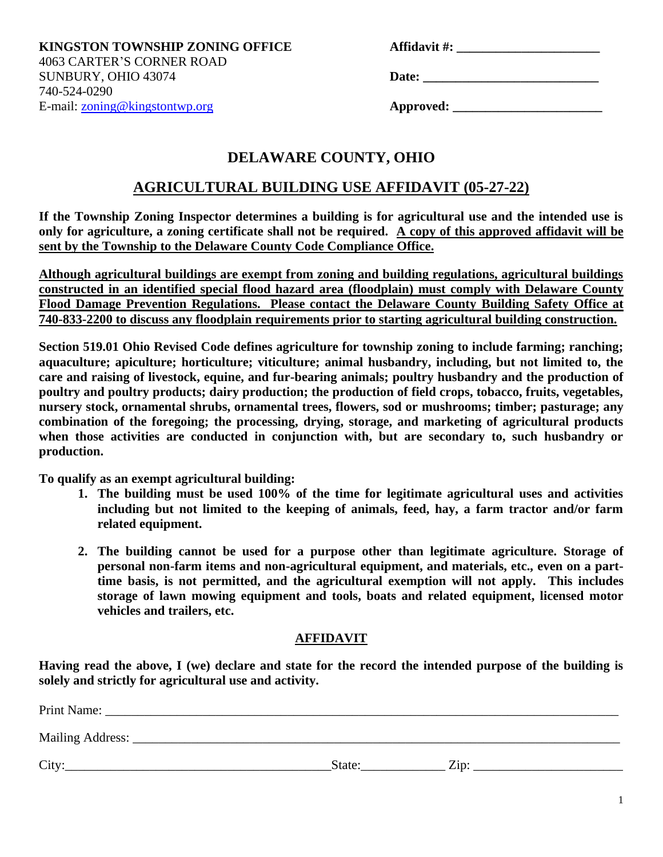**KINGSTON TOWNSHIP ZONING OFFICE** 4063 CARTER'S CORNER ROAD SUNBURY, OHIO 43074 **Date: \_\_\_\_\_\_\_\_\_\_\_\_\_\_\_\_\_\_\_\_\_\_\_\_\_\_\_** 740-524-0290 E-mail: [zoning@kingstontwp.org](mailto:zoning@kingstontwp.org) **Approved: \_\_\_\_\_\_\_\_\_\_\_\_\_\_\_\_\_\_\_\_\_\_\_**

## **DELAWARE COUNTY, OHIO**

## **AGRICULTURAL BUILDING USE AFFIDAVIT (05-27-22)**

**If the Township Zoning Inspector determines a building is for agricultural use and the intended use is only for agriculture, a zoning certificate shall not be required. A copy of this approved affidavit will be sent by the Township to the Delaware County Code Compliance Office.** 

**Although agricultural buildings are exempt from zoning and building regulations, agricultural buildings constructed in an identified special flood hazard area (floodplain) must comply with Delaware County Flood Damage Prevention Regulations. Please contact the Delaware County Building Safety Office at 740-833-2200 to discuss any floodplain requirements prior to starting agricultural building construction.**

**Section 519.01 Ohio Revised Code defines agriculture for township zoning to include farming; ranching; aquaculture; apiculture; horticulture; viticulture; animal husbandry, including, but not limited to, the care and raising of livestock, equine, and fur-bearing animals; poultry husbandry and the production of poultry and poultry products; dairy production; the production of field crops, tobacco, fruits, vegetables, nursery stock, ornamental shrubs, ornamental trees, flowers, sod or mushrooms; timber; pasturage; any combination of the foregoing; the processing, drying, storage, and marketing of agricultural products when those activities are conducted in conjunction with, but are secondary to, such husbandry or production.**

**To qualify as an exempt agricultural building:**

- **1. The building must be used 100% of the time for legitimate agricultural uses and activities including but not limited to the keeping of animals, feed, hay, a farm tractor and/or farm related equipment.**
- **2. The building cannot be used for a purpose other than legitimate agriculture. Storage of personal non-farm items and non-agricultural equipment, and materials, etc., even on a parttime basis, is not permitted, and the agricultural exemption will not apply. This includes storage of lawn mowing equipment and tools, boats and related equipment, licensed motor vehicles and trailers, etc.**

## **AFFIDAVIT**

**Having read the above, I (we) declare and state for the record the intended purpose of the building is solely and strictly for agricultural use and activity.**

| Print Name:      |                |
|------------------|----------------|
| Mailing Address: |                |
| City:            | Zin:<br>State: |